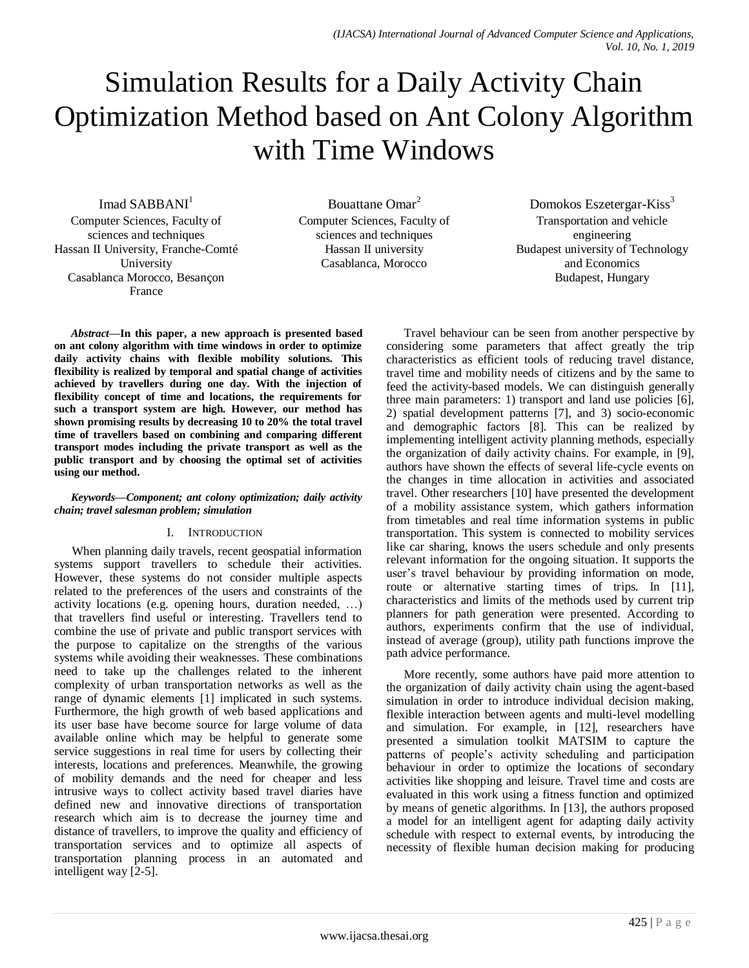# Simulation Results for a Daily Activity Chain Optimization Method based on Ant Colony Algorithm with Time Windows

Imad SABBANI<sup>1</sup>

Computer Sciences, Faculty of sciences and techniques Hassan II University, Franche-Comté University Casablanca Morocco, Besançon France

Bouattane Omar<sup>2</sup> Computer Sciences, Faculty of sciences and techniques Hassan II university Casablanca, Morocco

Domokos Eszetergar-Kiss<sup>3</sup> Transportation and vehicle engineering Budapest university of Technology and Economics Budapest, Hungary

*Abstract***—In this paper, a new approach is presented based on ant colony algorithm with time windows in order to optimize daily activity chains with flexible mobility solutions. This flexibility is realized by temporal and spatial change of activities achieved by travellers during one day. With the injection of flexibility concept of time and locations, the requirements for such a transport system are high. However, our method has shown promising results by decreasing 10 to 20% the total travel time of travellers based on combining and comparing different transport modes including the private transport as well as the public transport and by choosing the optimal set of activities using our method.**

#### *Keywords—Component; ant colony optimization; daily activity chain; travel salesman problem; simulation*

## I. INTRODUCTION

When planning daily travels, recent geospatial information systems support travellers to schedule their activities. However, these systems do not consider multiple aspects related to the preferences of the users and constraints of the activity locations (e.g. opening hours, duration needed, …) that travellers find useful or interesting. Travellers tend to combine the use of private and public transport services with the purpose to capitalize on the strengths of the various systems while avoiding their weaknesses. These combinations need to take up the challenges related to the inherent complexity of urban transportation networks as well as the range of dynamic elements [1] implicated in such systems. Furthermore, the high growth of web based applications and its user base have become source for large volume of data available online which may be helpful to generate some service suggestions in real time for users by collecting their interests, locations and preferences. Meanwhile, the growing of mobility demands and the need for cheaper and less intrusive ways to collect activity based travel diaries have defined new and innovative directions of transportation research which aim is to decrease the journey time and distance of travellers, to improve the quality and efficiency of transportation services and to optimize all aspects of transportation planning process in an automated and intelligent way [2-5].

Travel behaviour can be seen from another perspective by considering some parameters that affect greatly the trip characteristics as efficient tools of reducing travel distance, travel time and mobility needs of citizens and by the same to feed the activity-based models. We can distinguish generally three main parameters: 1) transport and land use policies [6], 2) spatial development patterns [7], and 3) socio-economic and demographic factors [8]. This can be realized by implementing intelligent activity planning methods, especially the organization of daily activity chains. For example, in [9], authors have shown the effects of several life-cycle events on the changes in time allocation in activities and associated travel. Other researchers [10] have presented the development of a mobility assistance system, which gathers information from timetables and real time information systems in public transportation. This system is connected to mobility services like car sharing, knows the users schedule and only presents relevant information for the ongoing situation. It supports the user's travel behaviour by providing information on mode, route or alternative starting times of trips. In [11], characteristics and limits of the methods used by current trip planners for path generation were presented. According to authors, experiments confirm that the use of individual, instead of average (group), utility path functions improve the path advice performance.

More recently, some authors have paid more attention to the organization of daily activity chain using the agent-based simulation in order to introduce individual decision making, flexible interaction between agents and multi-level modelling and simulation. For example, in [12], researchers have presented a simulation toolkit MATSIM to capture the patterns of people's activity scheduling and participation behaviour in order to optimize the locations of secondary activities like shopping and leisure. Travel time and costs are evaluated in this work using a fitness function and optimized by means of genetic algorithms. In [13], the authors proposed a model for an intelligent agent for adapting daily activity schedule with respect to external events, by introducing the necessity of flexible human decision making for producing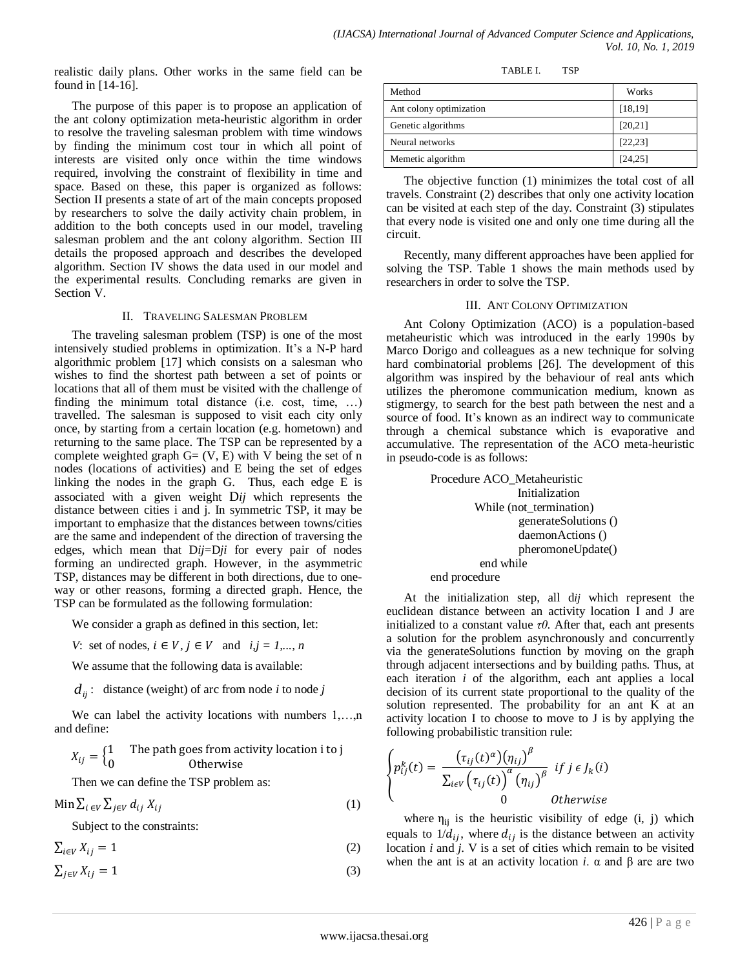realistic daily plans. Other works in the same field can be found in [14-16].

The purpose of this paper is to propose an application of the ant colony optimization meta-heuristic algorithm in order to resolve the traveling salesman problem with time windows by finding the minimum cost tour in which all point of interests are visited only once within the time windows required, involving the constraint of flexibility in time and space. Based on these, this paper is organized as follows: Section II presents a state of art of the main concepts proposed by researchers to solve the daily activity chain problem, in addition to the both concepts used in our model, traveling salesman problem and the ant colony algorithm. Section III details the proposed approach and describes the developed algorithm. Section IV shows the data used in our model and the experimental results. Concluding remarks are given in Section V.

#### II. TRAVELING SALESMAN PROBLEM

The traveling salesman problem (TSP) is one of the most intensively studied problems in optimization. It's a N-P hard algorithmic problem [17] which consists on a salesman who wishes to find the shortest path between a set of points or locations that all of them must be visited with the challenge of finding the minimum total distance (i.e. cost, time, …) travelled. The salesman is supposed to visit each city only once, by starting from a certain location (e.g. hometown) and returning to the same place. The TSP can be represented by a complete weighted graph  $G = (V, E)$  with V being the set of n nodes (locations of activities) and E being the set of edges linking the nodes in the graph G. Thus, each edge E is associated with a given weight D*ij* which represents the distance between cities i and j. In symmetric TSP, it may be important to emphasize that the distances between towns/cities are the same and independent of the direction of traversing the edges, which mean that D*ij*=D*ji* for every pair of nodes forming an undirected graph. However, in the asymmetric TSP, distances may be different in both directions, due to oneway or other reasons, forming a directed graph. Hence, the TSP can be formulated as the following formulation:

We consider a graph as defined in this section, let:

*V*: set of nodes,  $i \in V$ ,  $j \in V$  and  $i, j = 1,..., n$ 

We assume that the following data is available:

 $d_{ij}$ : distance (weight) of arc from node *i* to node *j* 

We can label the activity locations with numbers 1,...,n and define:

$$
X_{ij} = \begin{cases} 1 & \text{The path goes from activity location i to j} \\ 0 & \text{Otherwise} \end{cases}
$$

Then we can define the TSP problem as:

 $\text{Min} \sum_{i \in V} \sum_{i \in V} d_{ij} X_{ij}$  (1)

Subject to the constraints:

 $\sum_{i \in V} X_{ij} = 1$  (2)

 $\sum_{i \in V} X_{ij} = 1$  (3)

TABLE I. TSP

| Method                  | Works    |
|-------------------------|----------|
| Ant colony optimization | [18, 19] |
| Genetic algorithms      | [20, 21] |
| Neural networks         | [22, 23] |
| Memetic algorithm       | [24, 25] |

The objective function (1) minimizes the total cost of all travels. Constraint (2) describes that only one activity location can be visited at each step of the day. Constraint (3) stipulates that every node is visited one and only one time during all the circuit.

Recently, many different approaches have been applied for solving the TSP. Table 1 shows the main methods used by researchers in order to solve the TSP.

# III. ANT COLONY OPTIMIZATION

Ant Colony Optimization (ACO) is a population-based metaheuristic which was introduced in the early 1990s by Marco Dorigo and colleagues as a new technique for solving hard combinatorial problems [26]. The development of this algorithm was inspired by the behaviour of real ants which utilizes the pheromone communication medium, known as stigmergy, to search for the best path between the nest and a source of food. It's known as an indirect way to communicate through a chemical substance which is evaporative and accumulative. The representation of the ACO meta-heuristic in pseudo-code is as follows:

> Procedure ACO\_Metaheuristic Initialization While (not\_termination) generateSolutions () daemonActions () pheromoneUpdate() end while end procedure

At the initialization step, all d*ij* which represent the euclidean distance between an activity location I and J are initialized to a constant value  $\tau$ *0*. After that, each ant presents a solution for the problem asynchronously and concurrently via the generateSolutions function by moving on the graph through adjacent intersections and by building paths. Thus, at each iteration *i* of the algorithm, each ant applies a local decision of its current state proportional to the quality of the solution represented. The probability for an ant K at an activity location I to choose to move to J is by applying the following probabilistic transition rule:

$$
\begin{cases}\np_{ij}^k(t) = \frac{\left(\tau_{ij}(t)^{\alpha}\right)\left(\eta_{ij}\right)^{\beta}}{\sum_{i \in V} \left(\tau_{ij}(t)\right)^{\alpha}\left(\eta_{ij}\right)^{\beta}} & \text{if } j \in J_k(i) \\
0 & \text{otherwise}\n\end{cases}
$$

where  $\eta_{ij}$  is the heuristic visibility of edge (i, j) which equals to  $1/d_{ij}$ , where  $d_{ij}$  is the distance between an activity location *i* and *j*. V is a set of cities which remain to be visited when the ant is at an activity location *i*.  $\alpha$  and  $\beta$  are are two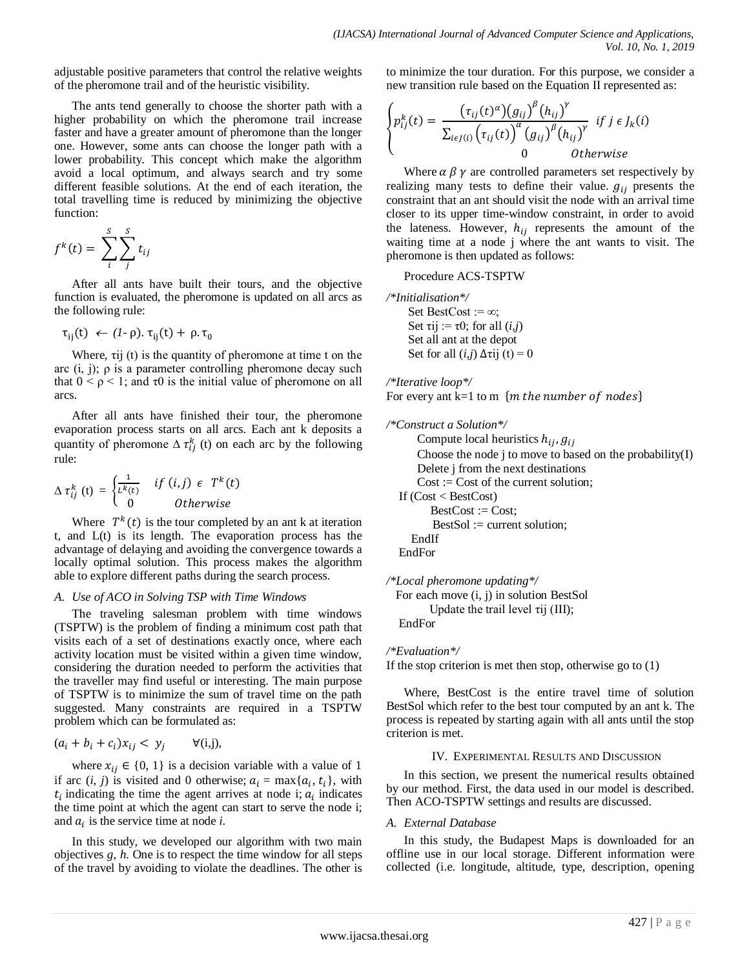adjustable positive parameters that control the relative weights of the pheromone trail and of the heuristic visibility.

The ants tend generally to choose the shorter path with a higher probability on which the pheromone trail increase faster and have a greater amount of pheromone than the longer one. However, some ants can choose the longer path with a lower probability. This concept which make the algorithm avoid a local optimum, and always search and try some different feasible solutions. At the end of each iteration, the total travelling time is reduced by minimizing the objective function:

$$
f^k(t) = \sum_{i}^{S} \sum_{j}^{S} t_{ij}
$$

After all ants have built their tours, and the objective function is evaluated, the pheromone is updated on all arcs as the following rule:

$$
\tau_{ii}(t) \leftarrow (I - \rho). \tau_{ii}(t) + \rho. \tau_0
$$

Where, τij (t) is the quantity of pheromone at time t on the arc  $(i, j)$ ;  $\rho$  is a parameter controlling pheromone decay such that  $0 \le \rho \le 1$ ; and  $\tau 0$  is the initial value of pheromone on all arcs.

After all ants have finished their tour, the pheromone evaporation process starts on all arcs. Each ant k deposits a quantity of pheromone  $\Delta \tau_{ij}^k$  (t) on each arc by the following rule:

$$
\Delta \tau_{ij}^{k}(t) = \begin{cases} \frac{1}{L^{k}(t)} & if (i,j) \in T^{k}(t) \\ 0 & Otherwise \end{cases}
$$

Where  $T^k(t)$  is the tour completed by an ant k at iteration t, and L(t) is its length. The evaporation process has the advantage of delaying and avoiding the convergence towards a locally optimal solution. This process makes the algorithm able to explore different paths during the search process.

## *A. Use of ACO in Solving TSP with Time Windows*

The traveling salesman problem with time windows (TSPTW) is the problem of finding a minimum cost path that visits each of a set of destinations exactly once, where each activity location must be visited within a given time window, considering the duration needed to perform the activities that the traveller may find useful or interesting. The main purpose of TSPTW is to minimize the sum of travel time on the path suggested. Many constraints are required in a TSPTW problem which can be formulated as:

$$
(a_i + b_i + c_i)x_{ij} < y_j \qquad \forall (i,j),
$$

where  $x_{ij} \in \{0, 1\}$  is a decision variable with a value of 1 if arc  $(i, j)$  is visited and 0 otherwise;  $a_i = \max\{a_i, t_i\}$ , with  $t_i$  indicating the time the agent arrives at node i;  $a_i$  indicates the time point at which the agent can start to serve the node i; and  $a_i$  is the service time at node  $i$ .

In this study, we developed our algorithm with two main objectives *g*, *h*. One is to respect the time window for all steps of the travel by avoiding to violate the deadlines. The other is to minimize the tour duration. For this purpose, we consider a new transition rule based on the Equation II represented as:

$$
\begin{cases}\np_{ij}^k(t) = \frac{\left(\tau_{ij}(t)^{\alpha}\right)\left(g_{ij}\right)^{\beta}\left(h_{ij}\right)^{\gamma}}{\sum_{i \in J(i)} \left(\tau_{ij}(t)\right)^{\alpha}\left(g_{ij}\right)^{\beta}\left(h_{ij}\right)^{\gamma}} \quad \text{if } j \in J_k(i) \\
0 \quad \text{otherwise}\n\end{cases}
$$

Where  $\alpha \beta \gamma$  are controlled parameters set respectively by realizing many tests to define their value.  $g_{ij}$  presents the constraint that an ant should visit the node with an arrival time closer to its upper time-window constraint, in order to avoid the lateness. However,  $h_{ij}$  represents the amount of the waiting time at a node j where the ant wants to visit. The pheromone is then updated as follows:

# Procedure ACS-TSPTW

```
/*Initialisation*/
     Set BestCost := \infty;
      Set \tau i j := \tau 0; for all (i, j) Set all ant at the depot
      Set for all (i, j) \Delta \tauij (t) = 0
```
*/\*Iterative loop\*/* For every ant  $k=1$  to m {m the number of nodes}

```
/*Construct a Solution*/
      Compute local heuristics h_{ij}, g_{ij} Choose the node j to move to based on the probability(I)
       Delete j from the next destinations
      Cost := Cost of the current solution;
   If (Cost < BestCost) 
         BestCost := Cost:
          BestSol := current solution; 
      EndIf 
   EndFor
```
*/\*Local pheromone updating\*/* For each move (i, j) in solution BestSol Update the trail level  $\tau$ ij (III); EndFor

*/\*Evaluation\*/* 

If the stop criterion is met then stop, otherwise go to (1)

Where, BestCost is the entire travel time of solution BestSol which refer to the best tour computed by an ant k. The process is repeated by starting again with all ants until the stop criterion is met.

## IV. EXPERIMENTAL RESULTS AND DISCUSSION

In this section, we present the numerical results obtained by our method. First, the data used in our model is described. Then ACO-TSPTW settings and results are discussed.

## *A. External Database*

In this study, the Budapest Maps is downloaded for an offline use in our local storage. Different information were collected (i.e. longitude, altitude, type, description, opening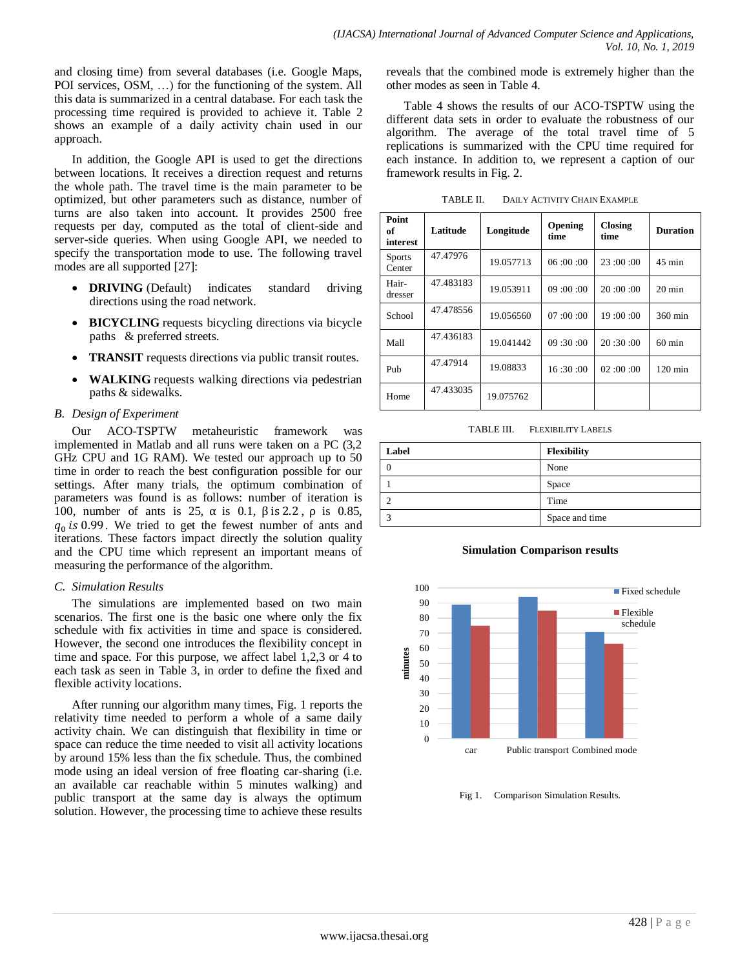and closing time) from several databases (i.e. Google Maps, POI services, OSM, …) for the functioning of the system. All this data is summarized in a central database. For each task the processing time required is provided to achieve it. Table 2 shows an example of a daily activity chain used in our approach.

In addition, the Google API is used to get the directions between locations. It receives a direction request and returns the whole path. The travel time is the main parameter to be optimized, but other parameters such as distance, number of turns are also taken into account. It provides 2500 free requests per day, computed as the total of client-side and server-side queries. When using Google API, we needed to specify the transportation mode to use. The following travel modes are all supported [27]:

- **DRIVING** (Default) indicates standard driving directions using the road network.
- **BICYCLING** requests bicycling directions via bicycle paths & preferred streets.
- **TRANSIT** requests directions via public transit routes.
- **WALKING** requests walking directions via pedestrian paths & sidewalks.

# *B. Design of Experiment*

Our ACO-TSPTW metaheuristic framework was implemented in Matlab and all runs were taken on a PC (3,2 GHz CPU and 1G RAM). We tested our approach up to 50 time in order to reach the best configuration possible for our settings. After many trials, the optimum combination of parameters was found is as follows: number of iteration is 100, number of ants is 25,  $\alpha$  is 0.1,  $\beta$  is 2.2,  $\rho$  is 0.85,  $q_0$  is 0.99. We tried to get the fewest number of ants and iterations. These factors impact directly the solution quality and the CPU time which represent an important means of measuring the performance of the algorithm.

## *C. Simulation Results*

The simulations are implemented based on two main scenarios. The first one is the basic one where only the fix schedule with fix activities in time and space is considered. However, the second one introduces the flexibility concept in time and space. For this purpose, we affect label 1,2,3 or 4 to each task as seen in Table 3, in order to define the fixed and flexible activity locations.

After running our algorithm many times, Fig. 1 reports the relativity time needed to perform a whole of a same daily activity chain. We can distinguish that flexibility in time or space can reduce the time needed to visit all activity locations by around 15% less than the fix schedule. Thus, the combined mode using an ideal version of free floating car-sharing (i.e. an available car reachable within 5 minutes walking) and public transport at the same day is always the optimum solution. However, the processing time to achieve these results reveals that the combined mode is extremely higher than the other modes as seen in Table 4.

Table 4 shows the results of our ACO-TSPTW using the different data sets in order to evaluate the robustness of our algorithm. The average of the total travel time of 5 replications is summarized with the CPU time required for each instance. In addition to, we represent a caption of our framework results in Fig. 2.

TABLE II. DAILY ACTIVITY CHAIN EXAMPLE

| Point<br>of<br>interest | Latitude  | Longitude | Opening<br>time | <b>Closing</b><br>time | <b>Duration</b>   |  |
|-------------------------|-----------|-----------|-----------------|------------------------|-------------------|--|
| <b>Sports</b><br>Center | 47.47976  | 19.057713 | 06:00:00        | 23:00:00               | $45 \text{ min}$  |  |
| Hair-<br>dresser        | 47.483183 | 19.053911 | 09:00:00        | 20:00:00               | $20 \text{ min}$  |  |
| School                  | 47.478556 | 19.056560 | 07:00:00        | 19:00:00               | 360 min           |  |
| Mall                    | 47.436183 | 19.041442 | 09:30:00        | 20:30:00               | $60 \text{ min}$  |  |
| Pub                     | 47.47914  | 19.08833  | 16:30:00        | 02:00:00               | $120 \text{ min}$ |  |
| Home                    | 47.433035 | 19.075762 |                 |                        |                   |  |

TABLE III. FLEXIBILITY LABELS

| Label | <b>Flexibility</b> |
|-------|--------------------|
|       | None               |
|       | Space              |
|       | Time               |
|       | Space and time     |

**Simulation Comparison results** 



Fig 1. Comparison Simulation Results.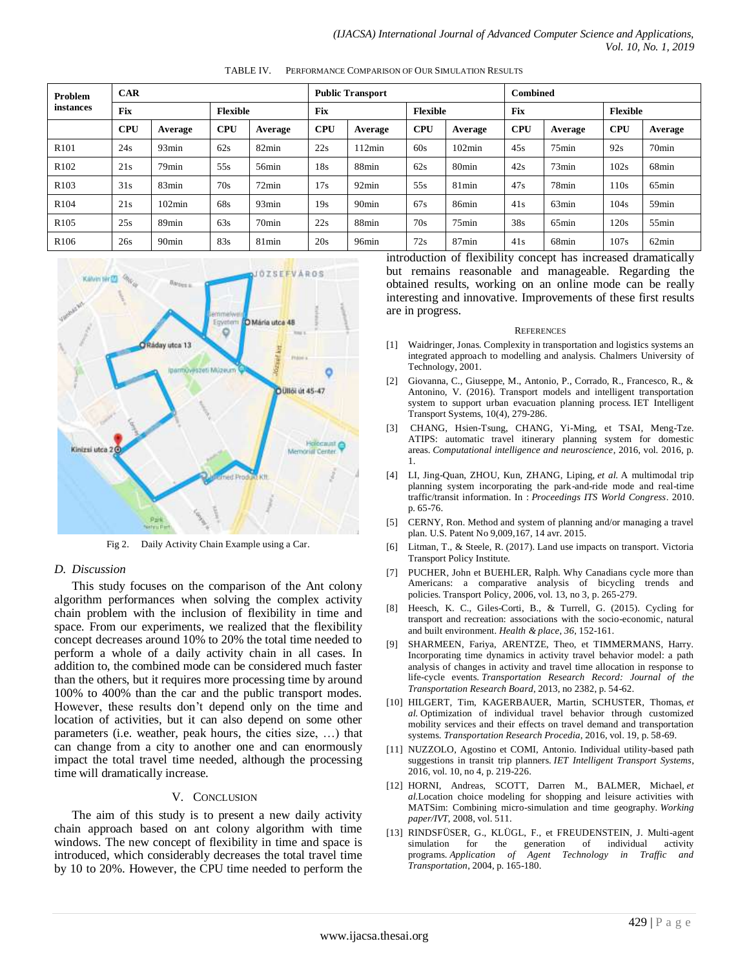| Problem<br>instances | <b>CAR</b> |                   |            | <b>Public Transport</b> |            |                   |                 | <b>Combined</b>         |            |                   |                 |                   |
|----------------------|------------|-------------------|------------|-------------------------|------------|-------------------|-----------------|-------------------------|------------|-------------------|-----------------|-------------------|
|                      | <b>Fix</b> |                   | Flexible   |                         | <b>Fix</b> |                   | <b>Flexible</b> |                         | <b>Fix</b> |                   | <b>Flexible</b> |                   |
|                      | <b>CPU</b> | Average           | <b>CPU</b> | Average                 | <b>CPU</b> | Average           | <b>CPU</b>      | Average                 | <b>CPU</b> | Average           | <b>CPU</b>      | Average           |
| R <sub>101</sub>     | 24s        | 93 <sub>min</sub> | 62s        | 82min                   | 22s        | 112min            | 60s             | $102\text{min}$         | 45s        | $75$ min          | 92s             | 70 <sub>min</sub> |
| R <sub>102</sub>     | 21s        | 79 <sub>min</sub> | 55s        | 56min                   | 18s        | 88min             | 62s             | 80 <sub>min</sub>       | 42s        | 73min             | 102s            | 68min             |
| R <sub>103</sub>     | 31s        | 83min             | 70s        | 72min                   | 17s        | 92min             | 55s             | $81$ min                | 47s        | 78min             | 110s            | $65$ min          |
| R <sub>104</sub>     | 21s        | $102\text{min}$   | 68s        | 93min                   | 19s        | 90 <sub>min</sub> | 67s             | 86min                   | 41s        | $63$ min          | 104s            | 59 <sub>min</sub> |
| R <sub>105</sub>     | 25s        | 89 <sub>min</sub> | 63s        | 70 <sub>min</sub>       | 22s        | 88min             | 70s             | $75$ min                | 38s        | $65$ min          | 120s            | $55$ min          |
| R <sub>106</sub>     | 26s        | 90 <sub>min</sub> | 83s        | $81$ min                | 20s        | 96min             | 72s             | 87 <sub>min</sub><br>-- | 41s        | 68 <sub>min</sub> | 107s<br>- -     | 62min             |

TABLE IV. PERFORMANCE COMPARISON OF OUR SIMULATION RESULTS



Fig 2. Daily Activity Chain Example using a Car.

#### *D. Discussion*

This study focuses on the comparison of the Ant colony algorithm performances when solving the complex activity chain problem with the inclusion of flexibility in time and space. From our experiments, we realized that the flexibility concept decreases around 10% to 20% the total time needed to perform a whole of a daily activity chain in all cases. In addition to, the combined mode can be considered much faster than the others, but it requires more processing time by around 100% to 400% than the car and the public transport modes. However, these results don't depend only on the time and location of activities, but it can also depend on some other parameters (i.e. weather, peak hours, the cities size, …) that can change from a city to another one and can enormously impact the total travel time needed, although the processing time will dramatically increase.

#### V. CONCLUSION

The aim of this study is to present a new daily activity chain approach based on ant colony algorithm with time windows. The new concept of flexibility in time and space is introduced, which considerably decreases the total travel time by 10 to 20%. However, the CPU time needed to perform the introduction of flexibility concept has increased dramatically but remains reasonable and manageable. Regarding the obtained results, working on an online mode can be really interesting and innovative. Improvements of these first results are in progress.

#### **REFERENCES**

- [1] Waidringer, Jonas. Complexity in transportation and logistics systems an integrated approach to modelling and analysis. Chalmers University of Technology, 2001.
- [2] Giovanna, C., Giuseppe, M., Antonio, P., Corrado, R., Francesco, R., & Antonino, V. (2016). Transport models and intelligent transportation system to support urban evacuation planning process. IET Intelligent Transport Systems, 10(4), 279-286.
- [3] CHANG, Hsien-Tsung, CHANG, Yi-Ming, et TSAI, Meng-Tze. ATIPS: automatic travel itinerary planning system for domestic areas. *Computational intelligence and neuroscience*, 2016, vol. 2016, p. 1.
- [4] LI, Jing-Quan, ZHOU, Kun, ZHANG, Liping, *et al.* A multimodal trip planning system incorporating the park-and-ride mode and real-time traffic/transit information. In : *Proceedings ITS World Congress*. 2010. p. 65-76.
- [5] CERNY, Ron. Method and system of planning and/or managing a travel plan. U.S. Patent No 9,009,167, 14 avr. 2015.
- [6] Litman, T., & Steele, R. (2017). Land use impacts on transport. Victoria Transport Policy Institute.
- [7] PUCHER, John et BUEHLER, Ralph. Why Canadians cycle more than Americans: a comparative analysis of bicycling trends and policies. Transport Policy, 2006, vol. 13, no 3, p. 265-279.
- [8] Heesch, K. C., Giles-Corti, B., & Turrell, G. (2015). Cycling for transport and recreation: associations with the socio-economic, natural and built environment. *Health & place*, *36*, 152-161.
- [9] SHARMEEN, Fariya, ARENTZE, Theo, et TIMMERMANS, Harry. Incorporating time dynamics in activity travel behavior model: a path analysis of changes in activity and travel time allocation in response to life-cycle events. *Transportation Research Record: Journal of the Transportation Research Board*, 2013, no 2382, p. 54-62.
- [10] HILGERT, Tim, KAGERBAUER, Martin, SCHUSTER, Thomas, *et al.* Optimization of individual travel behavior through customized mobility services and their effects on travel demand and transportation systems. *Transportation Research Procedia*, 2016, vol. 19, p. 58-69.
- [11] NUZZOLO, Agostino et COMI, Antonio. Individual utility-based path suggestions in transit trip planners. *IET Intelligent Transport Systems*, 2016, vol. 10, no 4, p. 219-226.
- [12] HORNI, Andreas, SCOTT, Darren M., BALMER, Michael, *et al.*Location choice modeling for shopping and leisure activities with MATSim: Combining micro-simulation and time geography. *Working paper/IVT*, 2008, vol. 511.
- [13] RINDSFÜSER, G., KLÜGL, F., et FREUDENSTEIN, J. Multi-agent simulation for the generation of individual activity programs. *Application of Agent Technology in Traffic and Transportation*, 2004, p. 165-180.